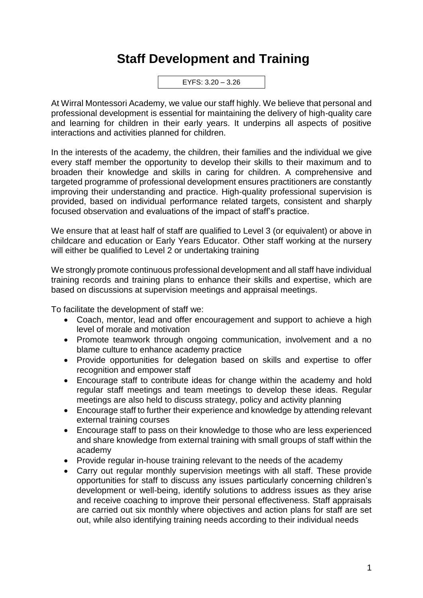## **Staff Development and Training**

EYFS: 3.20 – 3.26

At Wirral Montessori Academy, we value our staff highly. We believe that personal and professional development is essential for maintaining the delivery of high-quality care and learning for children in their early years. It underpins all aspects of positive interactions and activities planned for children.

In the interests of the academy, the children, their families and the individual we give every staff member the opportunity to develop their skills to their maximum and to broaden their knowledge and skills in caring for children. A comprehensive and targeted programme of professional development ensures practitioners are constantly improving their understanding and practice. High-quality professional supervision is provided, based on individual performance related targets, consistent and sharply focused observation and evaluations of the impact of staff's practice.

We ensure that at least half of staff are qualified to Level 3 (or equivalent) or above in childcare and education or Early Years Educator. Other staff working at the nursery will either be qualified to Level 2 or undertaking training

We strongly promote continuous professional development and all staff have individual training records and training plans to enhance their skills and expertise, which are based on discussions at supervision meetings and appraisal meetings.

To facilitate the development of staff we:

- Coach, mentor, lead and offer encouragement and support to achieve a high level of morale and motivation
- Promote teamwork through ongoing communication, involvement and a no blame culture to enhance academy practice
- Provide opportunities for delegation based on skills and expertise to offer recognition and empower staff
- Encourage staff to contribute ideas for change within the academy and hold regular staff meetings and team meetings to develop these ideas. Regular meetings are also held to discuss strategy, policy and activity planning
- Encourage staff to further their experience and knowledge by attending relevant external training courses
- Encourage staff to pass on their knowledge to those who are less experienced and share knowledge from external training with small groups of staff within the academy
- Provide regular in-house training relevant to the needs of the academy
- Carry out regular monthly supervision meetings with all staff. These provide opportunities for staff to discuss any issues particularly concerning children's development or well-being, identify solutions to address issues as they arise and receive coaching to improve their personal effectiveness. Staff appraisals are carried out six monthly where objectives and action plans for staff are set out, while also identifying training needs according to their individual needs